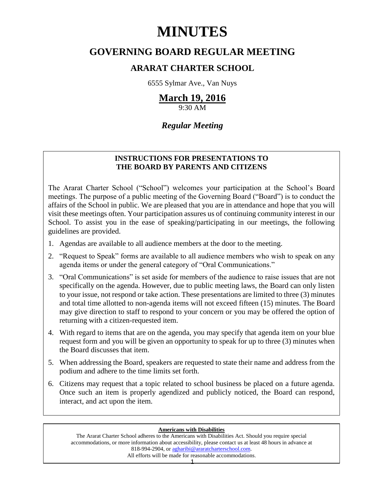# **MINUTES**

# **GOVERNING BOARD REGULAR MEETING**

## **ARARAT CHARTER SCHOOL**

6555 Sylmar Ave., Van Nuys

# **March 19, 2016**

9:30 AM

## *Regular Meeting*

### **INSTRUCTIONS FOR PRESENTATIONS TO THE BOARD BY PARENTS AND CITIZENS**

The Ararat Charter School ("School") welcomes your participation at the School's Board meetings. The purpose of a public meeting of the Governing Board ("Board") is to conduct the affairs of the School in public. We are pleased that you are in attendance and hope that you will visit these meetings often. Your participation assures us of continuing community interest in our School. To assist you in the ease of speaking/participating in our meetings, the following guidelines are provided.

- 1. Agendas are available to all audience members at the door to the meeting.
- 2. "Request to Speak" forms are available to all audience members who wish to speak on any agenda items or under the general category of "Oral Communications."
- 3. "Oral Communications" is set aside for members of the audience to raise issues that are not specifically on the agenda. However, due to public meeting laws, the Board can only listen to your issue, not respond or take action. These presentations are limited to three (3) minutes and total time allotted to non-agenda items will not exceed fifteen (15) minutes. The Board may give direction to staff to respond to your concern or you may be offered the option of returning with a citizen-requested item.
- 4. With regard to items that are on the agenda, you may specify that agenda item on your blue request form and you will be given an opportunity to speak for up to three (3) minutes when the Board discusses that item.
- 5. When addressing the Board, speakers are requested to state their name and address from the podium and adhere to the time limits set forth.
- 6. Citizens may request that a topic related to school business be placed on a future agenda. Once such an item is properly agendized and publicly noticed, the Board can respond, interact, and act upon the item.

#### **Americans with Disabilities**

The Ararat Charter School adheres to the Americans with Disabilities Act. Should you require special accommodations, or more information about accessibility, please contact us at least 48 hours in advance at 818-994-2904, or [agharibi@araratcharterschool.com.](mailto:agharibi@araratcharterschool.com)  All efforts will be made for reasonable accommodations.

1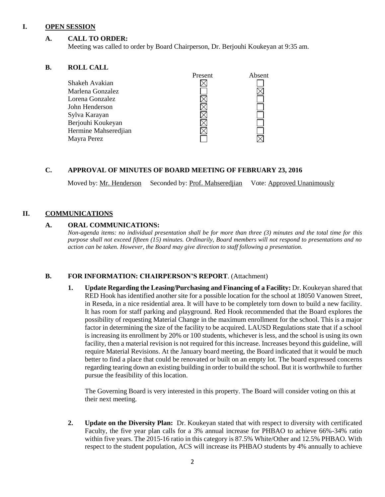#### **I. OPEN SESSION**

#### **A. CALL TO ORDER:**

Meeting was called to order by Board Chairperson, Dr. Berjouhi Koukeyan at 9:35 am.

#### **B. ROLL CALL**

| Present | Absent |
|---------|--------|
|         |        |
|         |        |
|         |        |
|         |        |
|         |        |
|         |        |
|         |        |
|         |        |
|         |        |

#### **C. APPROVAL OF MINUTES OF BOARD MEETING OF FEBRUARY 23, 2016**

Moved by: Mr. Henderson Seconded by: Prof. Mahseredjian Vote: Approved Unanimously

#### **II. COMMUNICATIONS**

#### **A. ORAL COMMUNICATIONS:**

*Non-agenda items: no individual presentation shall be for more than three (3) minutes and the total time for this purpose shall not exceed fifteen (15) minutes. Ordinarily, Board members will not respond to presentations and no action can be taken. However, the Board may give direction to staff following a presentation.*

#### **B. FOR INFORMATION: CHAIRPERSON'S REPORT**. (Attachment)

**1. Update Regarding the Leasing/Purchasing and Financing of a Facility:** Dr. Koukeyan shared that RED Hook has identified another site for a possible location for the school at 18050 Vanowen Street, in Reseda, in a nice residential area. It will have to be completely torn down to build a new facility. It has room for staff parking and playground. Red Hook recommended that the Board explores the possibility of requesting Material Change in the maximum enrollment for the school. This is a major factor in determining the size of the facility to be acquired. LAUSD Regulations state that if a school is increasing its enrollment by 20% or 100 students, whichever is less, and the school is using its own facility, then a material revision is not required for this increase. Increases beyond this guideline, will require Material Revisions. At the January board meeting, the Board indicated that it would be much better to find a place that could be renovated or built on an empty lot. The board expressed concerns regarding tearing down an existing building in order to build the school. But it is worthwhile to further pursue the feasibility of this location.

The Governing Board is very interested in this property. The Board will consider voting on this at their next meeting.

**2. Update on the Diversity Plan:** Dr. Koukeyan stated that with respect to diversity with certificated Faculty, the five year plan calls for a 3% annual increase for PHBAO to achieve 66%-34% ratio within five years. The 2015-16 ratio in this category is 87.5% White/Other and 12.5% PHBAO. With respect to the student population, ACS will increase its PHBAO students by 4% annually to achieve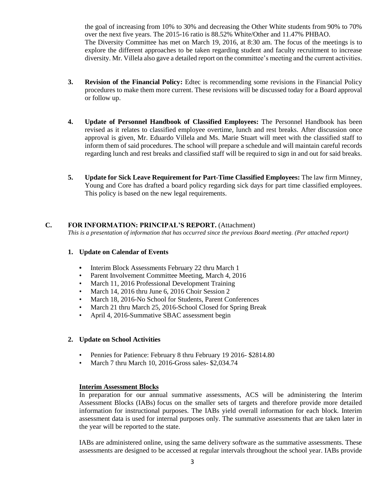the goal of increasing from 10% to 30% and decreasing the Other White students from 90% to 70% over the next five years. The 2015-16 ratio is 88.52% White/Other and 11.47% PHBAO. The Diversity Committee has met on March 19, 2016, at 8:30 am. The focus of the meetings is to explore the different approaches to be taken regarding student and faculty recruitment to increase diversity. Mr. Villela also gave a detailed report on the committee's meeting and the current activities.

- **3. Revision of the Financial Policy:** Edtec is recommending some revisions in the Financial Policy procedures to make them more current. These revisions will be discussed today for a Board approval or follow up.
- **4. Update of Personnel Handbook of Classified Employees:** The Personnel Handbook has been revised as it relates to classified employee overtime, lunch and rest breaks. After discussion once approval is given, Mr. Eduardo Villela and Ms. Marie Stuart will meet with the classified staff to inform them of said procedures. The school will prepare a schedule and will maintain careful records regarding lunch and rest breaks and classified staff will be required to sign in and out for said breaks.
- **5. Update for Sick Leave Requirement for Part-Time Classified Employees:** The law firm Minney, Young and Core has drafted a board policy regarding sick days for part time classified employees. This policy is based on the new legal requirements.

#### **C. FOR INFORMATION: PRINCIPAL'S REPORT.** (Attachment)

*This is a presentation of information that has occurred since the previous Board meeting. (Per attached report)*

#### **1. Update on Calendar of Events**

- **•** Interim Block Assessments February 22 thru March 1
- Parent Involvement Committee Meeting, March 4, 2016
- March 11, 2016 Professional Development Training
- March 14, 2016 thru June 6, 2016 Choir Session 2
- March 18, 2016-No School for Students, Parent Conferences
- March 21 thru March 25, 2016-School Closed for Spring Break
- April 4, 2016-Summative SBAC assessment begin

#### **2. Update on School Activities**

- Pennies for Patience: February 8 thru February 19 2016- \$2814.80
- March 7 thru March 10, 2016-Gross sales- \$2,034.74

#### **Interim Assessment Blocks**

In preparation for our annual summative assessments, ACS will be administering the Interim Assessment Blocks (IABs) focus on the smaller sets of targets and therefore provide more detailed information for instructional purposes. The IABs yield overall information for each block. Interim assessment data is used for internal purposes only. The summative assessments that are taken later in the year will be reported to the state.

IABs are administered online, using the same delivery software as the summative assessments. These assessments are designed to be accessed at regular intervals throughout the school year. IABs provide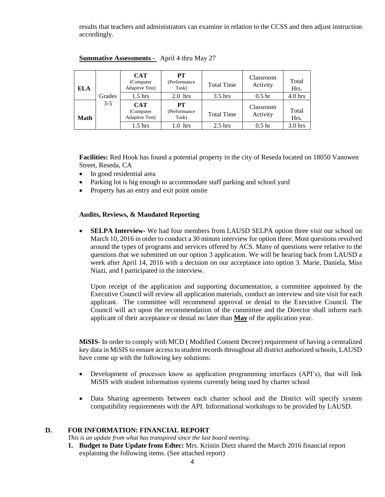results that teachers and administrators can examine in relation to the CCSS and then adjust instruction accordingly.

| ELA  |        | <b>CAT</b><br>(Computer)<br><b>Adaptive Test</b> ) | <b>PT</b><br>(Performance<br>Task) | <b>Total Time</b> | Classroom<br>Activity | Total<br>Hrs.      |
|------|--------|----------------------------------------------------|------------------------------------|-------------------|-----------------------|--------------------|
|      | Grades | $1.5$ hrs                                          | $2.0$ hrs                          | $3.5$ hrs         | 0.5 <sub>hr</sub>     | 4.0 <sub>hrs</sub> |
| Math | $3-5$  | <b>CAT</b><br>(Computer)<br><b>Adaptive Test</b> ) | PT<br>(Performance<br>Task)        | <b>Total Time</b> | Classroom<br>Activity | Total<br>Hrs.      |
|      |        | 1.5 hrs                                            | hrs<br>.0                          | $2.5$ hrs         | 0.5 <sub>hr</sub>     | $3.0$ hrs          |

#### **Summative Assessments -** April 4 thru May 27

**Facilities:** Red Hook has found a potential property in the city of Reseda located on 18050 Vanowen Street, Reseda, CA

- In good residential area
- Parking lot is big enough to accommodate staff parking and school yard
- Property has an entry and exit point onsite

#### **Audits, Reviews, & Mandated Reporting**

 **SELPA Interview-** We had four members from LAUSD SELPA option three visit our school on March 10, 2016 in order to conduct a 30 minute interview for option three. Most questions revolved around the types of programs and services offered by ACS. Many of questions were relative to the questions that we submitted on our option 3 application. We will be hearing back from LAUSD a week after April 14, 2016 with a decision on our acceptance into option 3. Marie, Daniela, Miss Niazi, and I participated in the interview.

Upon receipt of the application and supporting documentation, a committee appointed by the Executive Council will review all application materials, conduct an interview and site visit for each applicant. The committee will recommend approval or denial to the Executive Council. The Council will act upon the recommendation of the committee and the Director shall inform each applicant of their acceptance or denial no later than **May** of the application year.

**MiSIS-** In order to comply with MCD ( Modified Consent Decree) requirement of having a centralized key data in MiSIS to ensure access to student records throughout all district authorized schools, LAUSD have come up with the following key solutions:

- Development of processes know as application programming interfaces (API's), that will link MiSIS with student information systems currently being used by charter school
- Data Sharing agreements between each charter school and the District will specify system compatibility requirements with the API. Informational workshops to be provided by LAUSD.

#### **D. FOR INFORMATION: FINANCIAL REPORT**

*This is an update from what has transpired since the last board meeting.*

**1. Budget to Date Update from Edtec:** Mrs. Kristin Dietz shared the March 2016 financial report explaining the following items. (See attached report)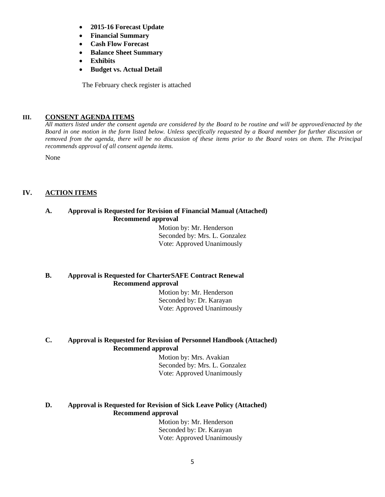- **2015-16 Forecast Update**
- **Financial Summary**
- **Cash Flow Forecast**
- **Balance Sheet Summary**
- **Exhibits**
- **Budget vs. Actual Detail**

The February check register is attached

#### **III. CONSENT AGENDA ITEMS**

*All matters listed under the consent agenda are considered by the Board to be routine and will be approved/enacted by the Board in one motion in the form listed below. Unless specifically requested by a Board member for further discussion or removed from the agenda, there will be no discussion of these items prior to the Board votes on them. The Principal recommends approval of all consent agenda items.*

None

#### **IV. ACTION ITEMS**

#### **A. Approval is Requested for Revision of Financial Manual (Attached) Recommend approval**

 Motion by: Mr. Henderson Seconded by: Mrs. L. Gonzalez Vote: Approved Unanimously

#### **B. Approval is Requested for CharterSAFE Contract Renewal Recommend approval**

 Motion by: Mr. Henderson Seconded by: Dr. Karayan Vote: Approved Unanimously

#### **C. Approval is Requested for Revision of Personnel Handbook (Attached) Recommend approval**

 Motion by: Mrs. Avakian Seconded by: Mrs. L. Gonzalez Vote: Approved Unanimously

#### **D. Approval is Requested for Revision of Sick Leave Policy (Attached) Recommend approval**

 Motion by: Mr. Henderson Seconded by: Dr. Karayan Vote: Approved Unanimously